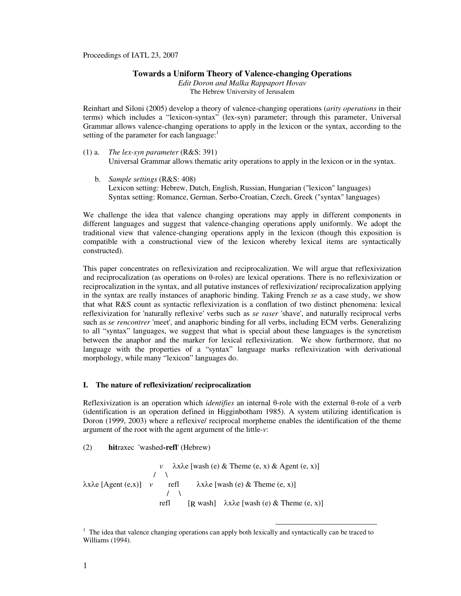Proceedings of IATL 23, 2007

# **Towards a Uniform Theory of Valence-changing Operations**

*Edit Doron and Malka Rappaport Hovav*  The Hebrew University of Jerusalem

Reinhart and Siloni (2005) develop a theory of valence-changing operations (*arity operations* in their terms) which includes a "lexicon-syntax" (lex-syn) parameter; through this parameter, Universal Grammar allows valence-changing operations to apply in the lexicon or the syntax, according to the setting of the parameter for each language: $<sup>1</sup>$ </sup>

- (1) a. *The lex-syn parameter* (R&S: 391) Universal Grammar allows thematic arity operations to apply in the lexicon or in the syntax.
	- b. *Sample settings* (R&S: 408) Lexicon setting: Hebrew, Dutch, English, Russian, Hungarian ("lexicon" languages) Syntax setting: Romance, German, Serbo-Croatian, Czech, Greek ("syntax" languages)

We challenge the idea that valence changing operations may apply in different components in different languages and suggest that valence-changing operations apply uniformly. We adopt the traditional view that valence-changing operations apply in the lexicon (though this exposition is compatible with a constructional view of the lexicon whereby lexical items are syntactically constructed).

This paper concentrates on reflexivization and reciprocalization. We will argue that reflexivization and reciprocalization (as operations on θ-roles) are lexical operations. There is no reflexivization or reciprocalization in the syntax, and all putative instances of reflexivization/ reciprocalization applying in the syntax are really instances of anaphoric binding. Taking French *se* as a case study, we show that what R&S count as syntactic reflexivization is a conflation of two distinct phenomena: lexical reflexivization for 'naturally reflexive' verbs such as *se raser* 'shave', and naturally reciprocal verbs such as *se rencontrer* 'meet', and anaphoric binding for all verbs, including ECM verbs. Generalizing to all "syntax" languages, we suggest that what is special about these languages is the syncretism between the anaphor and the marker for lexical reflexivization. We show furthermore, that no language with the properties of a "syntax" language marks reflexivization with derivational morphology, while many "lexicon" languages do.

## **I. The nature of reflexivization/ reciprocalization**

Reflexivization is an operation which *identifies* an internal θ-role with the external θ-role of a verb (identification is an operation defined in Higginbotham 1985). A system utilizing identification is Doron (1999, 2003) where a reflexive/ reciprocal morpheme enables the identification of the theme argument of the root with the agent argument of the little-*v*:

## (2) **hit**raxec 'washed**-refl**' (Hebrew)

*v*  $\lambda$ x $\lambda$ e [wash (e) & Theme (e, x) & Agent (e, x)]  $\sqrt{ }$  $\lambda$ xλe [Agent (e,x)] *v* refl  $\lambda$ xλe [wash (e) & Theme (e, x)]  $/ \sqrt{ }$ refl  $[R$  wash]  $\lambda x \lambda e$  [wash (e) & Theme (e, x)]

<sup>&</sup>lt;sup>1</sup> The idea that valence changing operations can apply both lexically and syntactically can be traced to Williams (1994).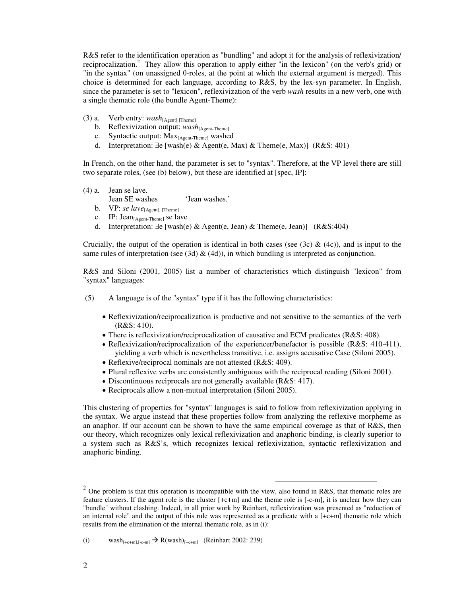R&S refer to the identification operation as "bundling" and adopt it for the analysis of reflexivization/ reciprocalization.<sup>2</sup> They allow this operation to apply either "in the lexicon" (on the verb's grid) or "in the syntax" (on unassigned θ-roles, at the point at which the external argument is merged). This choice is determined for each language, according to R&S, by the lex-syn parameter. In English, since the parameter is set to "lexicon", reflexivization of the verb *wash* results in a new verb, one with a single thematic role (the bundle Agent-Theme):

- (3) a. Verb entry: *wash*[Agent] [Theme]
	- b. Reflexivization output:  $wash_{[Agent\text{-}Thene]}$
	- c. Syntactic output: Max<sub>[Agent-Theme]</sub> washed
	- d. Interpretation: ∃e [wash(e) & Agent(e, Max) & Theme(e, Max)] (R&S: 401)

In French, on the other hand, the parameter is set to "syntax". Therefore, at the VP level there are still two separate roles, (see (b) below), but these are identified at [spec, IP]:

- (4) a. Jean se lave.
	- Jean SE washes 'Jean washes.'
	- b. VP: *se lave*[Agent], [Theme]
	- c. IP: Jean<sub>[Agent-Theme]</sub> se lave
	- d. Interpretation: ∃e [wash(e) & Agent(e, Jean) & Theme(e, Jean)] (R&S:404)

Crucially, the output of the operation is identical in both cases (see (3c) & (4c)), and is input to the same rules of interpretation (see (3d)  $\&$  (4d)), in which bundling is interpreted as conjunction.

R&S and Siloni (2001, 2005) list a number of characteristics which distinguish "lexicon" from "syntax" languages:

- (5) A language is of the "syntax" type if it has the following characteristics:
	- Reflexivization/reciprocalization is productive and not sensitive to the semantics of the verb (R&S: 410).
	- There is reflexivization/reciprocalization of causative and ECM predicates (R&S: 408).
	- Reflexivization/reciprocalization of the experiencer/benefactor is possible (R&S: 410-411), yielding a verb which is nevertheless transitive, i.e. assigns accusative Case (Siloni 2005).
	- Reflexive/reciprocal nominals are not attested (R&S: 409).
	- Plural reflexive verbs are consistently ambiguous with the reciprocal reading (Siloni 2001).
	- Discontinuous reciprocals are not generally available (R&S: 417).
	- Reciprocals allow a non-mutual interpretation (Siloni 2005).

This clustering of properties for "syntax" languages is said to follow from reflexivization applying in the syntax. We argue instead that these properties follow from analyzing the reflexive morpheme as an anaphor. If our account can be shown to have the same empirical coverage as that of R&S, then our theory, which recognizes only lexical reflexivization and anaphoric binding, is clearly superior to a system such as R&S's, which recognizes lexical reflexivization, syntactic reflexivization and anaphoric binding.

 $\overline{a}$ 

<sup>&</sup>lt;sup>2</sup> One problem is that this operation is incompatible with the view, also found in R&S, that thematic roles are feature clusters. If the agent role is the cluster [+c+m] and the theme role is [-c-m], it is unclear how they can "bundle" without clashing. Indeed, in all prior work by Reinhart, reflexivization was presented as "reduction of an internal role" and the output of this rule was represented as a predicate with a [+c+m] thematic role which results from the elimination of the internal thematic role, as in (i):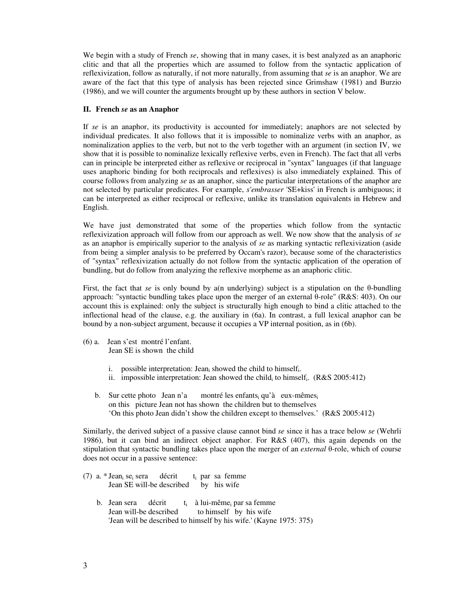We begin with a study of French *se*, showing that in many cases, it is best analyzed as an anaphoric clitic and that all the properties which are assumed to follow from the syntactic application of reflexivization, follow as naturally, if not more naturally, from assuming that *se* is an anaphor. We are aware of the fact that this type of analysis has been rejected since Grimshaw (1981) and Burzio (1986), and we will counter the arguments brought up by these authors in section V below.

## **II. French** *se* **as an Anaphor**

If *se* is an anaphor, its productivity is accounted for immediately; anaphors are not selected by individual predicates. It also follows that it is impossible to nominalize verbs with an anaphor, as nominalization applies to the verb, but not to the verb together with an argument (in section IV, we show that it is possible to nominalize lexically reflexive verbs, even in French). The fact that all verbs can in principle be interpreted either as reflexive or reciprocal in "syntax" languages (if that language uses anaphoric binding for both reciprocals and reflexives) is also immediately explained. This of course follows from analyzing *se* as an anaphor, since the particular interpretations of the anaphor are not selected by particular predicates. For example, *s'embrasser* 'SE+kiss' in French is ambiguous; it can be interpreted as either reciprocal or reflexive, unlike its translation equivalents in Hebrew and English.

We have just demonstrated that some of the properties which follow from the syntactic reflexivization approach will follow from our approach as well. We now show that the analysis of *se* as an anaphor is empirically superior to the analysis of *se* as marking syntactic reflexivization (aside from being a simpler analysis to be preferred by Occam's razor), because some of the characteristics of "syntax" reflexivization actually do not follow from the syntactic application of the operation of bundling, but do follow from analyzing the reflexive morpheme as an anaphoric clitic.

First, the fact that *se* is only bound by a(n underlying) subject is a stipulation on the θ-bundling approach: "syntactic bundling takes place upon the merger of an external θ-role" (R&S: 403). On our account this is explained: only the subject is structurally high enough to bind a clitic attached to the inflectional head of the clause, e.g. the auxiliary in (6a). In contrast, a full lexical anaphor can be bound by a non-subject argument, because it occupies a VP internal position, as in (6b).

- (6) a. Jean s'est montré l'enfant. Jean SE is shown the child
	- i. possible interpretation: Jean<sub>i</sub> showed the child to himself<sub>i</sub>.
	- ii. impossible interpretation: Jean showed the child to himself.  $(R&S 2005:412)$
	- b. Sur cette photo Jean n'a montré les enfants qu'à eux-mêmes on this picture Jean not has shown the children but to themselves 'On this photo Jean didn't show the children except to themselves.' (R&S 2005:412)

Similarly, the derived subject of a passive clause cannot bind *se* since it has a trace below *se* (Wehrli 1986), but it can bind an indirect object anaphor. For R&S (407), this again depends on the stipulation that syntactic bundling takes place upon the merger of an *external* θ-role, which of course does not occur in a passive sentence:

(7) a.  $*$  Jean<sub>i</sub> se<sub>i</sub> décrit par sa femme Jean SE will-be described by his wife b. Jean sera décrit<br>Jean will-be described à lui-même<sub>i</sub> par sa femme to himself by his wife 'Jean will be described to himself by his wife.' (Kayne 1975: 375)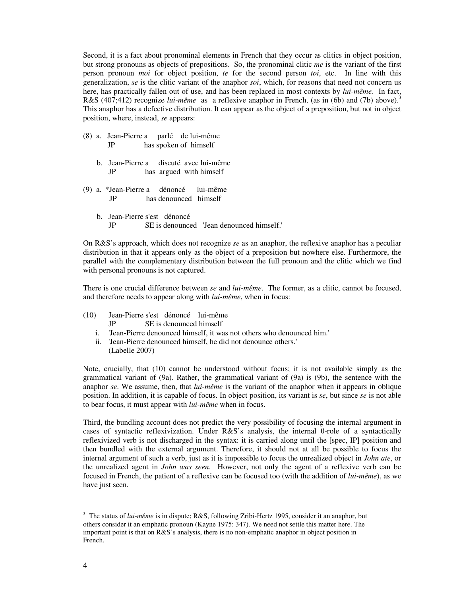Second, it is a fact about pronominal elements in French that they occur as clitics in object position, but strong pronouns as objects of prepositions. So, the pronominal clitic *me* is the variant of the first person pronoun *moi* for object position, *te* for the second person *toi*, etc. In line with this generalization, *se* is the clitic variant of the anaphor *soi*, which, for reasons that need not concern us here, has practically fallen out of use, and has been replaced in most contexts by *lui-même.* In fact, R&S (407;412) recognize *lui-même* as a reflexive anaphor in French, (as in (6b) and (7b) above).<sup>3</sup> This anaphor has a defective distribution. It can appear as the object of a preposition, but not in object position, where, instead, *se* appears:

- (8) a. Jean-Pierre a parlé de lui-même JP has spoken of himself
	- b. Jean-Pierre a discuté avec lui-même JP has argued with himself
- (9) a. \*Jean-Pierre a dénoncé lui-même JP has denounced himself
	- b. Jean-Pierre s'est dénoncé JP SE is denounced 'Jean denounced himself.'

On R&S's approach, which does not recognize *se* as an anaphor, the reflexive anaphor has a peculiar distribution in that it appears only as the object of a preposition but nowhere else. Furthermore, the parallel with the complementary distribution between the full pronoun and the clitic which we find with personal pronouns is not captured.

There is one crucial difference between *se* and *lui-même*. The former, as a clitic, cannot be focused, and therefore needs to appear along with *lui-même*, when in focus:

- (10) Jean-Pierre s'est dénoncé lui-même JP SE is denounced himself
	- i. 'Jean-Pierre denounced himself, it was not others who denounced him.'
	- ii. 'Jean-Pierre denounced himself, he did not denounce others.' (Labelle 2007)

Note, crucially, that (10) cannot be understood without focus; it is not available simply as the grammatical variant of (9a). Rather, the grammatical variant of (9a) is (9b), the sentence with the anaphor *se*. We assume, then, that *lui-même* is the variant of the anaphor when it appears in oblique position. In addition, it is capable of focus. In object position, its variant is *se*, but since *se* is not able to bear focus, it must appear with *lui-même* when in focus.

Third, the bundling account does not predict the very possibility of focusing the internal argument in cases of syntactic reflexivization. Under R&S's analysis, the internal θ-role of a syntactically reflexivized verb is not discharged in the syntax: it is carried along until the [spec, IP] position and then bundled with the external argument. Therefore, it should not at all be possible to focus the internal argument of such a verb, just as it is impossible to focus the unrealized object in *John ate*, or the unrealized agent in *John was seen*. However, not only the agent of a reflexive verb can be focused in French, the patient of a reflexive can be focused too (with the addition of *lui-même*), as we have just seen.

 $\overline{a}$ 

<sup>&</sup>lt;sup>3</sup> The status of *lui-même* is in dispute; R&S, following Zribi-Hertz 1995, consider it an anaphor, but others consider it an emphatic pronoun (Kayne 1975: 347). We need not settle this matter here. The important point is that on R&S's analysis, there is no non-emphatic anaphor in object position in French.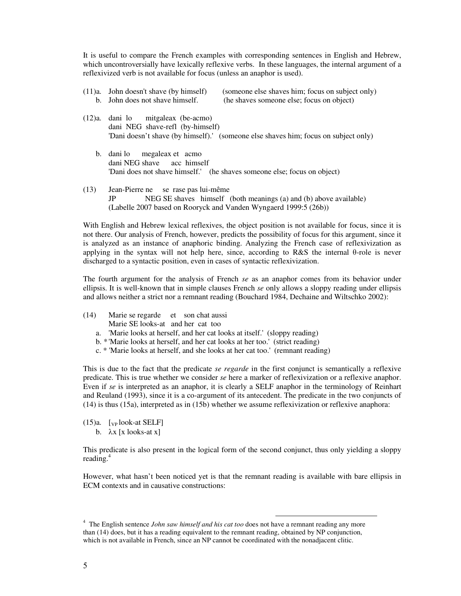It is useful to compare the French examples with corresponding sentences in English and Hebrew, which uncontroversially have lexically reflexive verbs. In these languages, the internal argument of a reflexivized verb is not available for focus (unless an anaphor is used).

- (11)a. John doesn't shave (by himself) (someone else shaves him; focus on subject only) b. John does not shave himself. (he shaves someone else; focus on object)
- (12)a. dani lo mitgaleax (be-acmo) dani NEG shave-refl (by-himself) 'Dani doesn't shave (by himself).' (someone else shaves him; focus on subject only)
	- b. dani lo megaleax et acmo dani NEG shave acc himself 'Dani does not shave himself.' (he shaves someone else; focus on object)
- (13) Jean-Pierre ne se rase pas lui-même JP NEG SE shaves himself (both meanings (a) and (b) above available) (Labelle 2007 based on Rooryck and Vanden Wyngaerd 1999:5 (26b))

With English and Hebrew lexical reflexives, the object position is not available for focus, since it is not there. Our analysis of French, however, predicts the possibility of focus for this argument, since it is analyzed as an instance of anaphoric binding. Analyzing the French case of reflexivization as applying in the syntax will not help here, since, according to R&S the internal θ-role is never discharged to a syntactic position, even in cases of syntactic reflexivization.

The fourth argument for the analysis of French *se* as an anaphor comes from its behavior under ellipsis. It is well-known that in simple clauses French *se* only allows a sloppy reading under ellipsis and allows neither a strict nor a remnant reading (Bouchard 1984, Dechaine and Wiltschko 2002):

- (14) Marie se regarde et son chat aussi Marie SE looks-at and her cat too
	- a. 'Marie looks at herself, and her cat looks at itself.' (sloppy reading)
	- b. \* 'Marie looks at herself, and her cat looks at her too.' (strict reading)
	- c. \* 'Marie looks at herself, and she looks at her cat too.' (remnant reading)

This is due to the fact that the predicate *se regarde* in the first conjunct is semantically a reflexive predicate. This is true whether we consider *se* here a marker of reflexivization or a reflexive anaphor. Even if *se* is interpreted as an anaphor, it is clearly a SELF anaphor in the terminology of Reinhart and Reuland (1993), since it is a co-argument of its antecedent. The predicate in the two conjuncts of (14) is thus (15a), interpreted as in (15b) whether we assume reflexivization or reflexive anaphora:

 $(15)a.$  [ $VP$  look-at SELF] b.  $\lambda x$  [x looks-at x]

This predicate is also present in the logical form of the second conjunct, thus only yielding a sloppy reading. $4$ 

However, what hasn't been noticed yet is that the remnant reading is available with bare ellipsis in ECM contexts and in causative constructions:

<sup>4</sup> The English sentence *John saw himself and his cat too* does not have a remnant reading any more than (14) does, but it has a reading equivalent to the remnant reading, obtained by NP conjunction, which is not available in French, since an NP cannot be coordinated with the nonadjacent clitic.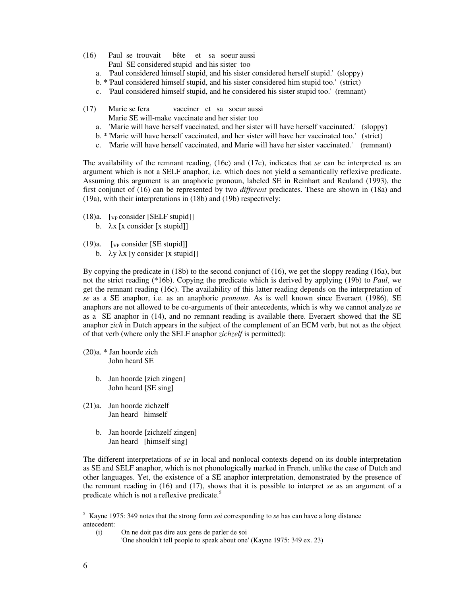- (16) Paul se trouvait bête et sa soeur aussi Paul SE considered stupid and his sister too
	- a. 'Paul considered himself stupid, and his sister considered herself stupid.' (sloppy)
	- b. \* 'Paul considered himself stupid, and his sister considered him stupid too.' (strict)
	- c. 'Paul considered himself stupid, and he considered his sister stupid too.' (remnant)
- (17) Marie se fera vacciner et sa soeur aussi Marie SE will-make vaccinate and her sister too
	- a. 'Marie will have herself vaccinated, and her sister will have herself vaccinated.' (sloppy)
	- b. \* 'Marie will have herself vaccinated, and her sister will have her vaccinated too.' (strict)
	- c. 'Marie will have herself vaccinated, and Marie will have her sister vaccinated.' (remnant)

The availability of the remnant reading, (16c) and (17c), indicates that *se* can be interpreted as an argument which is not a SELF anaphor, i.e. which does not yield a semantically reflexive predicate. Assuming this argument is an anaphoric pronoun, labeled SE in Reinhart and Reuland (1993), the first conjunct of (16) can be represented by two *different* predicates. These are shown in (18a) and (19a), with their interpretations in (18b) and (19b) respectively:

- $(18)a.$  [vp consider [SELF stupid]]
	- b.  $\lambda x$  [x consider [x stupid]]
- $(19)a.$  [<sub>VP</sub> consider [SE stupid]]
	- b.  $\lambda y \lambda x$  [y consider [x stupid]]

By copying the predicate in (18b) to the second conjunct of (16), we get the sloppy reading (16a), but not the strict reading (\*16b). Copying the predicate which is derived by applying (19b) to *Paul*, we get the remnant reading (16c). The availability of this latter reading depends on the interpretation of *se* as a SE anaphor, i.e. as an anaphoric *pronoun*. As is well known since Everaert (1986), SE anaphors are not allowed to be co-arguments of their antecedents, which is why we cannot analyze *se* as a SE anaphor in (14), and no remnant reading is available there. Everaert showed that the SE anaphor *zich* in Dutch appears in the subject of the complement of an ECM verb, but not as the object of that verb (where only the SELF anaphor *zichzelf* is permitted):

- (20)a. \* Jan hoorde zich John heard SE
	- b. Jan hoorde [zich zingen] John heard [SE sing]
- (21)a. Jan hoorde zichzelf Jan heard himself
	- b. Jan hoorde [zichzelf zingen] Jan heard [himself sing]

The different interpretations of *se* in local and nonlocal contexts depend on its double interpretation as SE and SELF anaphor, which is not phonologically marked in French, unlike the case of Dutch and other languages. Yet, the existence of a SE anaphor interpretation, demonstrated by the presence of the remnant reading in (16) and (17), shows that it is possible to interpret *se* as an argument of a predicate which is not a reflexive predicate.<sup>5</sup>

 $\overline{a}$ 

(i) On ne doit pas dire aux gens de parler de soi

'One shouldn't tell people to speak about one' (Kayne 1975: 349 ex. 23)

<sup>5</sup> Kayne 1975: 349 notes that the strong form *soi* corresponding to *se* has can have a long distance antecedent: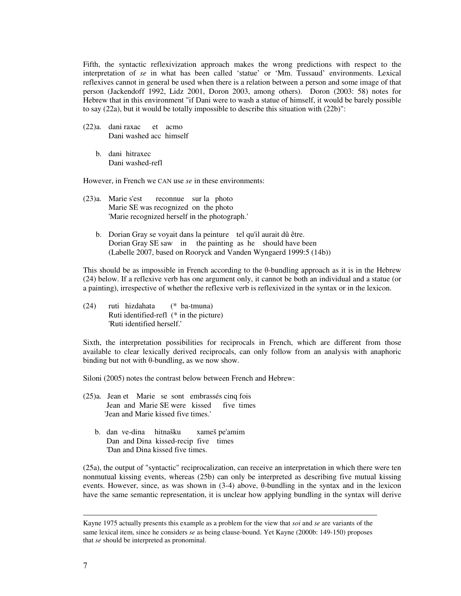Fifth, the syntactic reflexivization approach makes the wrong predictions with respect to the interpretation of *se* in what has been called 'statue' or 'Mm. Tussaud' environments. Lexical reflexives cannot in general be used when there is a relation between a person and some image of that person (Jackendoff 1992, Lidz 2001, Doron 2003, among others). Doron (2003: 58) notes for Hebrew that in this environment "if Dani were to wash a statue of himself, it would be barely possible to say (22a), but it would be totally impossible to describe this situation with (22b)":

- (22)a. dani raxac et acmo Dani washed acc himself
	- b. dani hitraxec Dani washed-refl

However, in French we CAN use *se* in these environments:

- (23)a. Marie s'est reconnue sur la photo Marie SE was recognized on the photo 'Marie recognized herself in the photograph.'
	- b. Dorian Gray se voyait dans la peinture tel qu'il aurait dû être. Dorian Gray SE saw in the painting as he should have been (Labelle 2007, based on Rooryck and Vanden Wyngaerd 1999:5 (14b))

This should be as impossible in French according to the θ-bundling approach as it is in the Hebrew (24) below. If a reflexive verb has one argument only, it cannot be both an individual and a statue (or a painting), irrespective of whether the reflexive verb is reflexivized in the syntax or in the lexicon.

(24) ruti hizdahata (\* ba-tmuna) Ruti identified-refl (\* in the picture) 'Ruti identified herself.'

Sixth, the interpretation possibilities for reciprocals in French, which are different from those available to clear lexically derived reciprocals, can only follow from an analysis with anaphoric binding but not with θ-bundling, as we now show.

Siloni (2005) notes the contrast below between French and Hebrew:

- (25)a. Jean et Marie se sont embrassés cinq fois Jean and Marie SE were kissed five times 'Jean and Marie kissed five times.'
	- b. dan ve-dina hitnašku xameš pe'amim Dan and Dina kissed-recipfive times 'Dan and Dina kissed five times.

(25a), the output of "syntactic" reciprocalization, can receive an interpretation in which there were ten nonmutual kissing events, whereas (25b) can only be interpreted as describing five mutual kissing events. However, since, as was shown in (3-4) above, θ-bundling in the syntax and in the lexicon have the same semantic representation, it is unclear how applying bundling in the syntax will derive

 $\overline{a}$ 

Kayne 1975 actually presents this example as a problem for the view that *soi* and *se* are variants of the same lexical item, since he considers *se* as being clause-bound. Yet Kayne (2000b: 149-150) proposes that *se* should be interpreted as pronominal.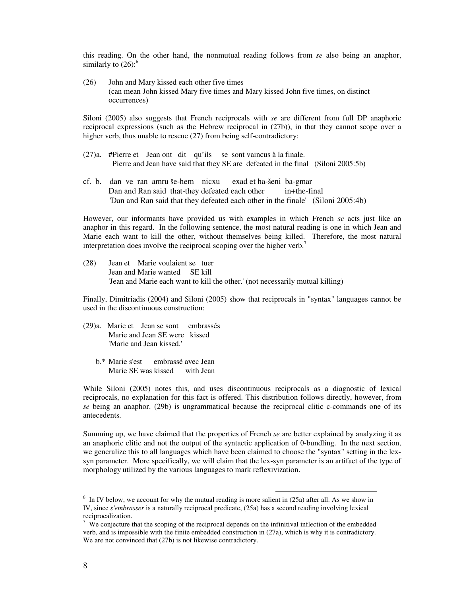this reading. On the other hand, the nonmutual reading follows from *se* also being an anaphor, similarly to  $(26)$ :<sup>6</sup>

(26) John and Mary kissed each other five times (can mean John kissed Mary five times and Mary kissed John five times, on distinct occurrences)

Siloni (2005) also suggests that French reciprocals with *se* are different from full DP anaphoric reciprocal expressions (such as the Hebrew reciprocal in (27b)), in that they cannot scope over a higher verb, thus unable to rescue (27) from being self-contradictory:

- (27)a. #Pierre et Jean ont dit qu'ils se sont vaincus à la finale. Pierre and Jean have said that they SE are defeated in the final (Siloni 2005:5b)
- cf. b. dan ve ran amru še-hem nicxu exad et ha-šeni ba-gmar Dan and Ran said that-they defeated each other in+the-final 'Dan and Ran said that they defeated each other in the finale' (Siloni 2005:4b)

However, our informants have provided us with examples in which French *se* acts just like an anaphor in this regard. In the following sentence, the most natural reading is one in which Jean and Marie each want to kill the other, without themselves being killed. Therefore, the most natural interpretation does involve the reciprocal scoping over the higher verb.<sup>7</sup>

(28) Jean et Marie voulaient se tuer Jean and Marie wanted SE kill 'Jean and Marie each want to kill the other.' (not necessarily mutual killing)

Finally, Dimitriadis (2004) and Siloni (2005) show that reciprocals in "syntax" languages cannot be used in the discontinuous construction:

- (29)a. Marie et Jean se sont embrassés Marie and Jean SE were kissed 'Marie and Jean kissed.'
	- b.\* Marie s'est embrassé avec Jean Marie SE was kissed with Jean

While Siloni (2005) notes this, and uses discontinuous reciprocals as a diagnostic of lexical reciprocals, no explanation for this fact is offered. This distribution follows directly, however, from *se* being an anaphor. (29b) is ungrammatical because the reciprocal clitic c-commands one of its antecedents.

Summing up, we have claimed that the properties of French *se* are better explained by analyzing it as an anaphoric clitic and not the output of the syntactic application of θ-bundling. In the next section, we generalize this to all languages which have been claimed to choose the "syntax" setting in the lexsyn parameter. More specifically, we will claim that the lex-syn parameter is an artifact of the type of morphology utilized by the various languages to mark reflexivization.

 $6\,$  In IV below, we account for why the mutual reading is more salient in (25a) after all. As we show in IV, since *s'embrasser* is a naturally reciprocal predicate, (25a) has a second reading involving lexical reciprocalization.

<sup>7</sup> We conjecture that the scoping of the reciprocal depends on the infinitival inflection of the embedded verb, and is impossible with the finite embedded construction in (27a), which is why it is contradictory. We are not convinced that  $(27b)$  is not likewise contradictory.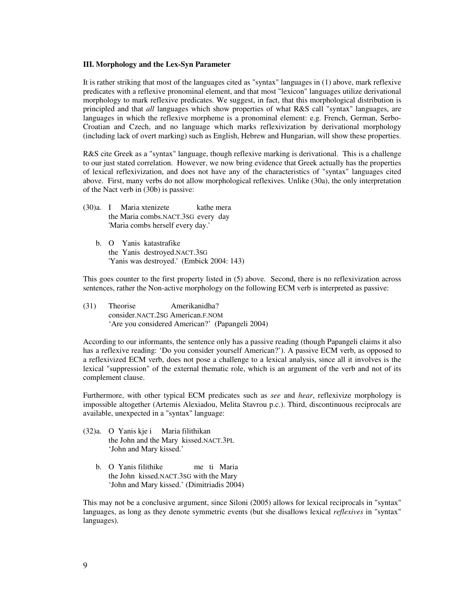## **III. Morphology and the Lex-Syn Parameter**

It is rather striking that most of the languages cited as "syntax" languages in (1) above, mark reflexive predicates with a reflexive pronominal element, and that most "lexicon" languages utilize derivational morphology to mark reflexive predicates. We suggest, in fact, that this morphological distribution is principled and that *all* languages which show properties of what R&S call "syntax" languages, are languages in which the reflexive morpheme is a pronominal element: e.g. French, German, Serbo-Croatian and Czech, and no language which marks reflexivization by derivational morphology (including lack of overt marking) such as English, Hebrew and Hungarian, will show these properties.

R&S cite Greek as a "syntax" language, though reflexive marking is derivational. This is a challenge to our just stated correlation. However, we now bring evidence that Greek actually has the properties of lexical reflexivization, and does not have any of the characteristics of "syntax" languages cited above. First, many verbs do not allow morphological reflexives. Unlike (30a), the only interpretation of the Nact verb in (30b) is passive:

- (30)a. I Maria xtenizete kathe mera the Maria combs.NACT.3SG every day 'Maria combs herself every day.'
	- b. O Yanis katastrafike the Yanis destroyed.NACT.3SG 'Yanis was destroyed.' (Embick 2004: 143)

This goes counter to the first property listed in (5) above. Second, there is no reflexivization across sentences, rather the Non-active morphology on the following ECM verb is interpreted as passive:

(31) Theorise Amerikanidha? consider.NACT.2SG American.F.NOM 'Are you considered American?' (Papangeli 2004)

According to our informants, the sentence only has a passive reading (though Papangeli claims it also has a reflexive reading: 'Do you consider yourself American?'). A passive ECM verb, as opposed to a reflexivized ECM verb, does not pose a challenge to a lexical analysis, since all it involves is the lexical "suppression" of the external thematic role, which is an argument of the verb and not of its complement clause.

Furthermore, with other typical ECM predicates such as *see* and *hear*, reflexivize morphology is impossible altogether (Artemis Alexiadou, Melita Stavrou p.c.). Third, discontinuous reciprocals are available, unexpected in a "syntax" language:

- (32)a. O Yanis kje i Maria filithikan the John and the Mary kissed.NACT.3PL 'John and Mary kissed.'
	- b. O Yanis filithike me ti Maria the John kissed.NACT.3SG with the Mary 'John and Mary kissed.' (Dimitriadis 2004)

This may not be a conclusive argument, since Siloni (2005) allows for lexical reciprocals in "syntax" languages, as long as they denote symmetric events (but she disallows lexical *reflexives* in "syntax" languages).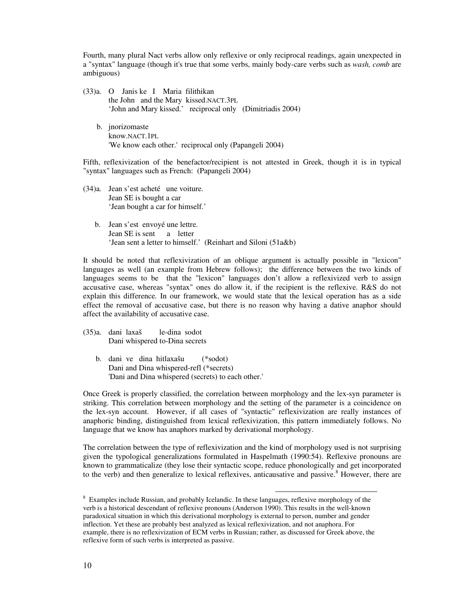Fourth, many plural Nact verbs allow only reflexive or only reciprocal readings, again unexpected in a "syntax" language (though it's true that some verbs, mainly body-care verbs such as *wash, comb* are ambiguous)

- (33)a. O Janis ke I Maria filithikan the John and the Mary kissed.NACT.3PL 'John and Mary kissed.' reciprocal only (Dimitriadis 2004)
	- b. jnorizomaste know.NACT.1PL 'We know each other.' reciprocal only (Papangeli 2004)

Fifth, reflexivization of the benefactor/recipient is not attested in Greek, though it is in typical "syntax" languages such as French: (Papangeli 2004)

- (34)a. Jean s'est acheté une voiture. Jean SE is bought a car 'Jean bought a car for himself.'
	- b. Jean s'est envoyé une lettre. Jean SE is sent a letter 'Jean sent a letter to himself.' (Reinhart and Siloni (51a&b)

It should be noted that reflexivization of an oblique argument is actually possible in "lexicon" languages as well (an example from Hebrew follows); the difference between the two kinds of languages seems to be that the "lexicon" languages don't allow a reflexivized verb to assign accusative case, whereas "syntax" ones do allow it, if the recipient is the reflexive. R&S do not explain this difference. In our framework, we would state that the lexical operation has as a side effect the removal of accusative case, but there is no reason why having a dative anaphor should affect the availability of accusative case.

- (35)a. dani laxaš le-dina sodot Dani whispered to-Dina secrets
	- b. dani ve dina hitlaxašu (\*sodot) Dani and Dina whispered-refl (\*secrets) 'Dani and Dina whispered (secrets) to each other.'

Once Greek is properly classified, the correlation between morphology and the lex-syn parameter is striking. This correlation between morphology and the setting of the parameter is a coincidence on the lex-syn account. However, if all cases of "syntactic" reflexivization are really instances of anaphoric binding, distinguished from lexical reflexivization, this pattern immediately follows. No language that we know has anaphors marked by derivational morphology.

The correlation between the type of reflexivization and the kind of morphology used is not surprising given the typological generalizations formulated in Haspelmath (1990:54). Reflexive pronouns are known to grammaticalize (they lose their syntactic scope, reduce phonologically and get incorporated to the verb) and then generalize to lexical reflexives, anticausative and passive.<sup>8</sup> However, there are

<sup>&</sup>lt;sup>8</sup> Examples include Russian, and probably Icelandic. In these languages, reflexive morphology of the verb is a historical descendant of reflexive pronouns (Anderson 1990). This results in the well-known paradoxical situation in which this derivational morphology is external to person, number and gender inflection. Yet these are probably best analyzed as lexical reflexivization, and not anaphora. For example, there is no reflexivization of ECM verbs in Russian; rather, as discussed for Greek above, the reflexive form of such verbs is interpreted as passive.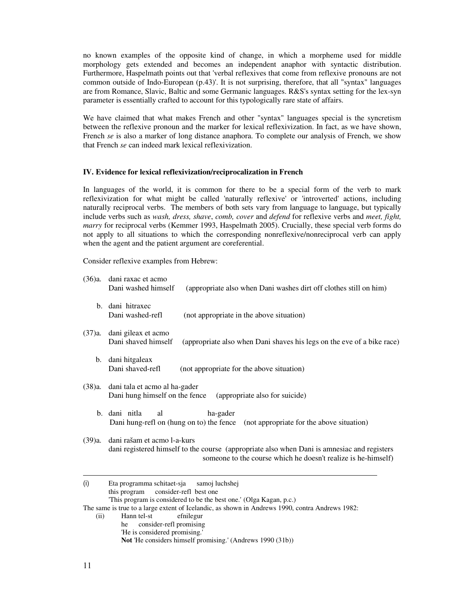no known examples of the opposite kind of change, in which a morpheme used for middle morphology gets extended and becomes an independent anaphor with syntactic distribution. Furthermore, Haspelmath points out that 'verbal reflexives that come from reflexive pronouns are not common outside of Indo-European (p.43)'. It is not surprising, therefore, that all "syntax" languages are from Romance, Slavic, Baltic and some Germanic languages. R&S's syntax setting for the lex-syn parameter is essentially crafted to account for this typologically rare state of affairs.

We have claimed that what makes French and other "syntax" languages special is the syncretism between the reflexive pronoun and the marker for lexical reflexivization. In fact, as we have shown, French *se* is also a marker of long distance anaphora. To complete our analysis of French, we show that French *se* can indeed mark lexical reflexivization.

### **IV. Evidence for lexical reflexivization/reciprocalization in French**

In languages of the world, it is common for there to be a special form of the verb to mark reflexivization for what might be called 'naturally reflexive' or 'introverted' actions, including naturally reciprocal verbs. The members of both sets vary from language to language, but typically include verbs such as *wash, dress, shave*, *comb, cover* and *defend* for reflexive verbs and *meet, fight, marry* for reciprocal verbs (Kemmer 1993, Haspelmath 2005). Crucially, these special verb forms do not apply to all situations to which the corresponding nonreflexive/nonreciprocal verb can apply when the agent and the patient argument are coreferential.

Consider reflexive examples from Hebrew:

(ii) Hann tel-st efnilegur

he consider-refl promising 'He is considered promising.'

**Not** 'He considers himself promising.' (Andrews 1990 (31b))

11

| (36)a.  | dani raxac et acmo<br>Dani washed himself<br>(appropriate also when Dani washes dirt off clothes still on him)                                                                              |  |  |
|---------|---------------------------------------------------------------------------------------------------------------------------------------------------------------------------------------------|--|--|
|         | b. dani hitraxec<br>Dani washed-refl<br>(not appropriate in the above situation)                                                                                                            |  |  |
| (37)a.  | dani gileax et acmo<br>Dani shaved himself<br>(appropriate also when Dani shaves his legs on the eve of a bike race)                                                                        |  |  |
| $b_{1}$ | dani hitgaleax<br>Dani shaved-refl<br>(not appropriate for the above situation)                                                                                                             |  |  |
| (38)a.  | dani tala et acmo al ha-gader<br>Dani hung himself on the fence<br>(appropriate also for suicide)                                                                                           |  |  |
|         | b. dani nitla<br>ha-gader<br>al<br>Dani hung-refl on (hung on to) the fence<br>(not appropriate for the above situation)                                                                    |  |  |
| (39)a.  | dani rašam et acmo 1-a-kurs<br>dani registered himself to the course (appropriate also when Dani is amnesiac and registers<br>someone to the course which he doesn't realize is he-himself) |  |  |
| (i)     | Eta programma schitaet-sja<br>samoj luchshej<br>consider-refl best one<br>this program<br>This program is considered to be the best one.' (Olga Kagan, p.c.)                                |  |  |
|         | The same is true to a large extent of Icelandic, as shown in Andrews 1990, contra Andrews 1982:                                                                                             |  |  |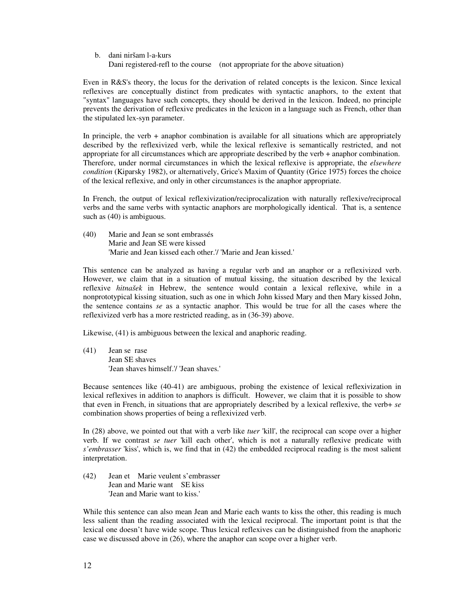# b. dani niršam l-a-kurs Dani registered-refl to the course (not appropriate for the above situation)

Even in R&S's theory, the locus for the derivation of related concepts is the lexicon. Since lexical reflexives are conceptually distinct from predicates with syntactic anaphors, to the extent that "syntax" languages have such concepts, they should be derived in the lexicon. Indeed, no principle prevents the derivation of reflexive predicates in the lexicon in a language such as French, other than the stipulated lex-syn parameter.

In principle, the verb  $+$  anaphor combination is available for all situations which are appropriately described by the reflexivized verb, while the lexical reflexive is semantically restricted, and not appropriate for all circumstances which are appropriate described by the verb + anaphor combination. Therefore, under normal circumstances in which the lexical reflexive is appropriate, the *elsewhere condition* (Kiparsky 1982), or alternatively, Grice's Maxim of Quantity (Grice 1975) forces the choice of the lexical reflexive, and only in other circumstances is the anaphor appropriate.

In French, the output of lexical reflexivization/reciprocalization with naturally reflexive/reciprocal verbs and the same verbs with syntactic anaphors are morphologically identical. That is, a sentence such as  $(40)$  is ambiguous.

(40) Marie and Jean se sont embrassés Marie and Jean SE were kissed 'Marie and Jean kissed each other.'/ 'Marie and Jean kissed.'

This sentence can be analyzed as having a regular verb and an anaphor or a reflexivized verb. However, we claim that in a situation of mutual kissing, the situation described by the lexical reflexive *hitnašek* in Hebrew, the sentence would contain a lexical reflexive, while in a nonprototypical kissing situation, such as one in which John kissed Mary and then Mary kissed John, the sentence contains *se* as a syntactic anaphor. This would be true for all the cases where the reflexivized verb has a more restricted reading, as in (36-39) above.

Likewise, (41) is ambiguous between the lexical and anaphoric reading.

(41) Jean se rase Jean SE shaves 'Jean shaves himself.'/ 'Jean shaves.'

Because sentences like (40-41) are ambiguous, probing the existence of lexical reflexivization in lexical reflexives in addition to anaphors is difficult. However, we claim that it is possible to show that even in French, in situations that are appropriately described by a lexical reflexive, the verb+ *se* combination shows properties of being a reflexivized verb.

In (28) above, we pointed out that with a verb like *tuer* 'kill', the reciprocal can scope over a higher verb. If we contrast *se tuer* 'kill each other', which is not a naturally reflexive predicate with *s'embrasser* 'kiss', which is, we find that in (42) the embedded reciprocal reading is the most salient interpretation.

(42) Jean et Marie veulent s'embrasser Jean and Marie want SE kiss 'Jean and Marie want to kiss.'

While this sentence can also mean Jean and Marie each wants to kiss the other, this reading is much less salient than the reading associated with the lexical reciprocal. The important point is that the lexical one doesn't have wide scope. Thus lexical reflexives can be distinguished from the anaphoric case we discussed above in (26), where the anaphor can scope over a higher verb.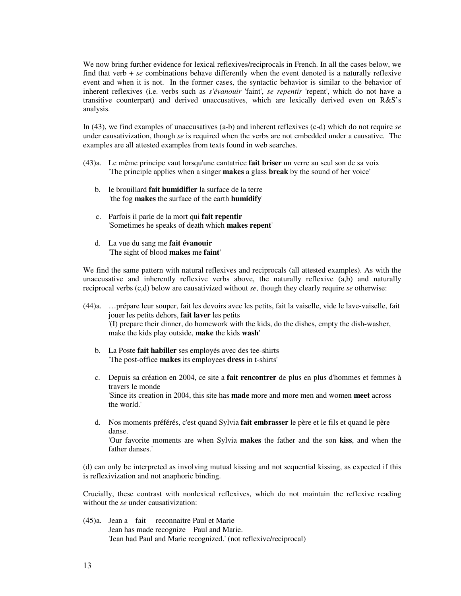We now bring further evidence for lexical reflexives/reciprocals in French. In all the cases below, we find that verb + *se* combinations behave differently when the event denoted is a naturally reflexive event and when it is not. In the former cases, the syntactic behavior is similar to the behavior of inherent reflexives (i.e. verbs such as *s'évanouir* 'faint', *se repentir* 'repent', which do not have a transitive counterpart) and derived unaccusatives, which are lexically derived even on R&S's analysis.

In (43), we find examples of unaccusatives (a-b) and inherent reflexives (c-d) which do not require *se* under causativization, though *se* is required when the verbs are not embedded under a causative. The examples are all attested examples from texts found in web searches.

- (43)a. Le même principe vaut lorsqu'une cantatrice **fait briser** un verre au seul son de sa voix 'The principle applies when a singer **makes** a glass **break** by the sound of her voice'
	- b. le brouillard **fait humidifier** la surface de la terre 'the fog **makes** the surface of the earth **humidify**'
	- c. Parfois il parle de la mort qui **fait repentir** 'Sometimes he speaks of death which **makes repent**'
	- d. La vue du sang me **fait évanouir** 'The sight of blood **makes** me **faint**'

We find the same pattern with natural reflexives and reciprocals (all attested examples). As with the unaccusative and inherently reflexive verbs above, the naturally reflexive (a,b) and naturally reciprocal verbs (c,d) below are causativized without *se*, though they clearly require *se* otherwise:

- (44)a. …prépare leur souper, fait les devoirs avec les petits, fait la vaiselle, vide le lave-vaiselle, fait jouer les petits dehors, **fait laver** les petits '(I) prepare their dinner, do homework with the kids, do the dishes, empty the dish-washer, make the kids play outside, **make** the kids **wash**'
	- b. La Poste **fait habiller** ses employés avec des tee-shirts 'The post-office **makes** its employees **dress** in t-shirts'
	- c. Depuis sa création en 2004, ce site a **fait rencontrer** de plus en plus d'hommes et femmes à travers le monde 'Since its creation in 2004, this site has **made** more and more men and women **meet** across the world.'
	- d. Nos moments préférés, c'est quand Sylvia **fait embrasser** le père et le fils et quand le père danse. 'Our favorite moments are when Sylvia **makes** the father and the son **kiss**, and when the father danses.'

(d) can only be interpreted as involving mutual kissing and not sequential kissing, as expected if this is reflexivization and not anaphoric binding.

Crucially, these contrast with nonlexical reflexives, which do not maintain the reflexive reading without the *se* under causativization:

(45)a. Jean a fait reconnaitre Paul et Marie Jean has made recognize Paul and Marie. 'Jean had Paul and Marie recognized.' (not reflexive/reciprocal)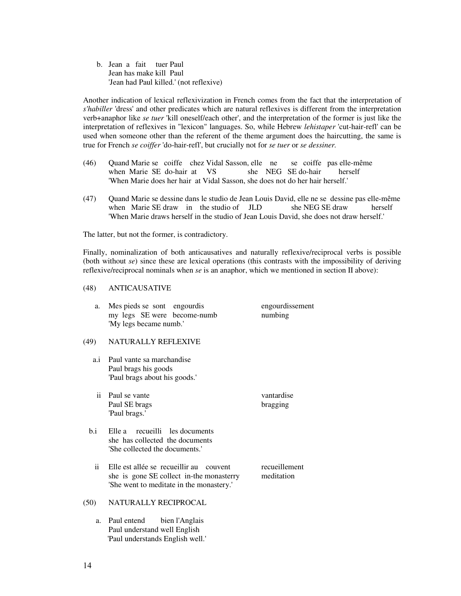b. Jean a fait tuer Paul Jean has make kill Paul 'Jean had Paul killed.' (not reflexive)

Another indication of lexical reflexivization in French comes from the fact that the interpretation of *s'habiller* 'dress' and other predicates which are natural reflexives is different from the interpretation verb+anaphor like *se tuer* 'kill oneself/each other', and the interpretation of the former is just like the interpretation of reflexives in "lexicon" languages. So, while Hebrew *lehistaper* 'cut-hair-refl' can be used when someone other than the referent of the theme argument does the haircutting, the same is true for French *se coiffer* 'do-hair-refl', but crucially not for *se tuer* or *se dessiner.*

- (46) Quand Marie se coiffe chez Vidal Sasson, elle ne se coiffe pas elle-même when Marie SE do-hair at VS she NEG SE do-hair herself 'When Marie does her hair at Vidal Sasson, she does not do her hair herself.'
- (47) Quand Marie se dessine dans le studio de Jean Louis David, elle ne se dessine pas elle-même when Marie SE draw in the studio of JLD she NEG SE draw herself 'When Marie draws herself in the studio of Jean Louis David, she does not draw herself.'

The latter, but not the former, is contradictory.

Finally, nominalization of both anticausatives and naturally reflexive/reciprocal verbs is possible (both without *se*) since these are lexical operations (this contrasts with the impossibility of deriving reflexive/reciprocal nominals when *se* is an anaphor, which we mentioned in section II above):

### (48) ANTICAUSATIVE

| Mes pieds se sont engourdis |  | engourdissement |
|-----------------------------|--|-----------------|
| my legs SE were become-numb |  | numbing         |
| 'My legs became numb.'      |  |                 |

### (49) NATURALLY REFLEXIVE

- a.i Paul vante sa marchandise Paul brags his goods 'Paul brags about his goods.'
- ii Paul se vante vantardise Paul SE brags bragging 'Paul brags.'
- b.i Elle a recueilli les documents she has collected the documents 'She collected the documents.'
	- ii Elle est allée se recueillir au couvent recueillement she is gone SE collect in-the monasterry meditation 'She went to meditate in the monastery.'

## (50) NATURALLY RECIPROCAL

 a. Paul entend bien l'Anglais Paul understand well English 'Paul understands English well.'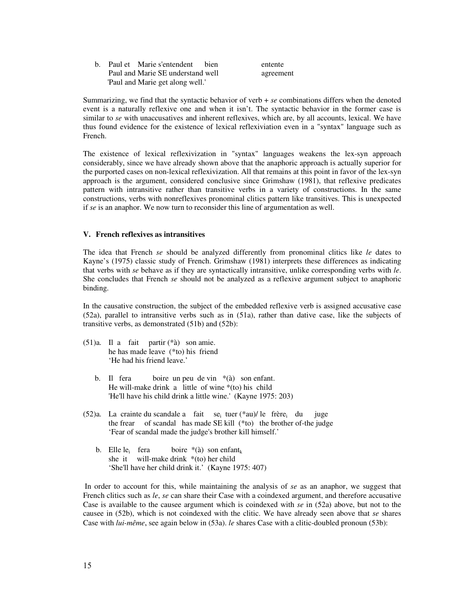|  | b. Paul et Marie s'entendent bien | entente   |
|--|-----------------------------------|-----------|
|  | Paul and Marie SE understand well | agreement |
|  | 'Paul and Marie get along well.'  |           |

Summarizing, we find that the syntactic behavior of verb + *se* combinations differs when the denoted event is a naturally reflexive one and when it isn't. The syntactic behavior in the former case is similar to *se* with unaccusatives and inherent reflexives, which are, by all accounts, lexical. We have thus found evidence for the existence of lexical reflexiviation even in a "syntax" language such as French.

The existence of lexical reflexivization in "syntax" languages weakens the lex-syn approach considerably, since we have already shown above that the anaphoric approach is actually superior for the purported cases on non-lexical reflexivization. All that remains at this point in favor of the lex-syn approach is the argument, considered conclusive since Grimshaw (1981), that reflexive predicates pattern with intransitive rather than transitive verbs in a variety of constructions. In the same constructions, verbs with nonreflexives pronominal clitics pattern like transitives. This is unexpected if *se* is an anaphor. We now turn to reconsider this line of argumentation as well.

## **V. French reflexives as intransitives**

The idea that French *se* should be analyzed differently from pronominal clitics like *le* dates to Kayne's (1975) classic study of French. Grimshaw (1981) interprets these differences as indicating that verbs with *se* behave as if they are syntactically intransitive, unlike corresponding verbs with *le*. She concludes that French *se* should not be analyzed as a reflexive argument subject to anaphoric binding.

In the causative construction, the subject of the embedded reflexive verb is assigned accusative case (52a), parallel to intransitive verbs such as in (51a), rather than dative case, like the subjects of transitive verbs, as demonstrated (51b) and (52b):

- (51)a. Il a fait partir (\*à) son amie. he has made leave (\*to) his friend 'He had his friend leave.'
	- b. Il fera boire un peu de vin \*(à) son enfant. He will-make drink a little of wine  $*($  to) his child 'He'll have his child drink a little wine.' (Kayne 1975: 203)
- $(52)a$ . La crainte du scandale a fait se<sub>i</sub> tuer (\*au)/ le frère<sub>i</sub> du juge the frear of scandal has made SE kill (\*to) the brother of-the judge 'Fear of scandal made the judge's brother kill himself.'
	- b. Elle le<sub>i</sub> fera boire  $*(\lambda)$  son enfant<sub>k</sub> she it will-make drink \*(to) her child 'She'll have her child drink it.' (Kayne 1975: 407)

In order to account for this, while maintaining the analysis of *se* as an anaphor, we suggest that French clitics such as *le*, *se* can share their Case with a coindexed argument, and therefore accusative Case is available to the causee argument which is coindexed with *se* in (52a) above, but not to the causee in (52b), which is not coindexed with the clitic. We have already seen above that *se* shares Case with *lui-même*, see again below in (53a). *le* shares Case with a clitic-doubled pronoun (53b):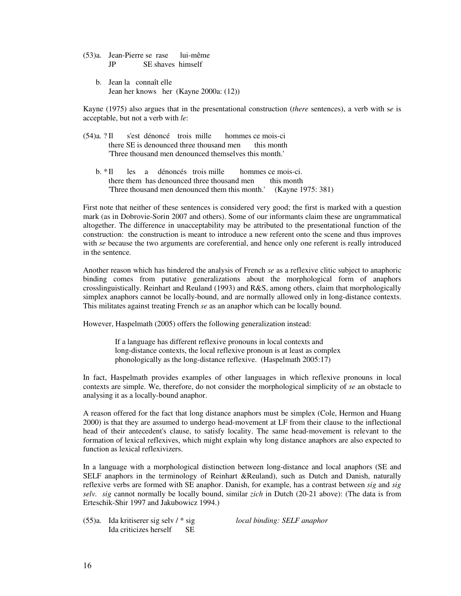(53)a. Jean-Pierre se rase lui-même JP SE shaves himself

 b. Jean la connaît elle Jean her knows her (Kayne 2000a: (12))

Kayne (1975) also argues that in the presentational construction (*there* sentences), a verb with s*e* is acceptable, but not a verb with *le*:

- (54)a. ? Il s'est dénoncé trois mille hommes ce mois-ci there SE is denounced three thousand men this month 'Three thousand men denounced themselves this month.'
	- b. \* Il les a dénoncés trois mille hommes ce mois-ci. there them has denounced three thousand men this month 'Three thousand men denounced them this month.' (Kayne 1975: 381)

First note that neither of these sentences is considered very good; the first is marked with a question mark (as in Dobrovie-Sorin 2007 and others). Some of our informants claim these are ungrammatical altogether. The difference in unacceptability may be attributed to the presentational function of the construction: the construction is meant to introduce a new referent onto the scene and thus improves with *se* because the two arguments are coreferential, and hence only one referent is really introduced in the sentence.

Another reason which has hindered the analysis of French *se* as a reflexive clitic subject to anaphoric binding comes from putative generalizations about the morphological form of anaphors crosslinguistically. Reinhart and Reuland (1993) and R&S, among others, claim that morphologically simplex anaphors cannot be locally-bound, and are normally allowed only in long-distance contexts. This militates against treating French *se* as an anaphor which can be locally bound.

However, Haspelmath (2005) offers the following generalization instead:

If a language has different reflexive pronouns in local contexts and long-distance contexts, the local reflexive pronoun is at least as complex phonologically as the long-distance reflexive. (Haspelmath 2005:17)

In fact, Haspelmath provides examples of other languages in which reflexive pronouns in local contexts are simple. We, therefore, do not consider the morphological simplicity of *se* an obstacle to analysing it as a locally-bound anaphor.

A reason offered for the fact that long distance anaphors must be simplex (Cole, Hermon and Huang 2000) is that they are assumed to undergo head-movement at LF from their clause to the inflectional head of their antecedent's clause, to satisfy locality. The same head-movement is relevant to the formation of lexical reflexives, which might explain why long distance anaphors are also expected to function as lexical reflexivizers.

In a language with a morphological distinction between long-distance and local anaphors (SE and SELF anaphors in the terminology of Reinhart &Reuland), such as Dutch and Danish, naturally reflexive verbs are formed with SE anaphor. Danish, for example, has a contrast between *sig* and *sig selv. sig* cannot normally be locally bound, similar *zich* in Dutch (20-21 above): (The data is from Erteschik-Shir 1997 and Jakubowicz 1994.)

(55)a. Ida kritiserer sig selv / \* sig *local binding: SELF anaphor*  Ida criticizes herself SE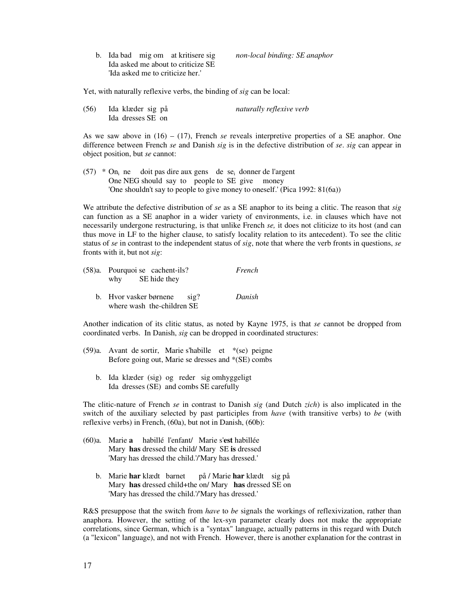b. Ida bad mig om at kritisere sig *non-local binding: SE anaphor*  Ida asked me about to criticize SE 'Ida asked me to criticize her.'

Yet, with naturally reflexive verbs, the binding of *sig* can be local:

| (56) | Ida klæder sig på | naturally reflexive verb |
|------|-------------------|--------------------------|
|      | Ida dresses SE on |                          |

As we saw above in (16) – (17), French *se* reveals interpretive properties of a SE anaphor. One difference between French *se* and Danish *sig* is in the defective distribution of *se*. *sig* can appear in object position, but *se* cannot:

 $(57)$  \* On<sub>i</sub> ne doit pas dire aux gens de se<sub>i</sub> donner de l'argent One NEG should say to people to SE give money 'One shouldn't say to people to give money to oneself.' (Pica 1992: 81(6a))

We attribute the defective distribution of *se* as a SE anaphor to its being a clitic. The reason that *sig* can function as a SE anaphor in a wider variety of environments, i.e. in clauses which have not necessarily undergone restructuring, is that unlike French *se,* it does not cliticize to its host (and can thus move in LF to the higher clause, to satisfy locality relation to its antecedent). To see the clitic status of *se* in contrast to the independent status of *sig*, note that where the verb fronts in questions, *se* fronts with it, but not *sig*:

| $(58)a$ . Pourquoi se cachent-ils?<br>why SE hide they           | French |
|------------------------------------------------------------------|--------|
| b. Hvor vasker børnene<br>$\sin 2$<br>where wash the-children SE | Danish |

Another indication of its clitic status, as noted by Kayne 1975, is that *se* cannot be dropped from coordinated verbs. In Danish, *sig* can be dropped in coordinated structures:

- (59)a. Avant de sortir, Marie s'habille et \*(se) peigne Before going out, Marie se dresses and \*(SE) combs
	- b. Ida klæder (sig) og reder sig omhyggeligt Ida dresses (SE) and combs SE carefully

The clitic-nature of French *se* in contrast to Danish *sig* (and Dutch *zich*) is also implicated in the switch of the auxiliary selected by past participles from *have* (with transitive verbs) to *be* (with reflexive verbs) in French, (60a), but not in Danish, (60b):

- (60)a. Marie **a** habillé l'enfant/ Marie s'**est** habillée Mary **has** dressed the child/ Mary SE **is** dressed 'Mary has dressed the child.'/'Mary has dressed.'
	- b. Marie **har** klædt barnet på / Marie **har** klædt sig på Mary **has** dressed child+the on/ Mary **has** dressed SE on 'Mary has dressed the child.'/'Mary has dressed.'

R&S presuppose that the switch from *have* to *be* signals the workings of reflexivization, rather than anaphora. However, the setting of the lex-syn parameter clearly does not make the appropriate correlations, since German, which is a "syntax" language, actually patterns in this regard with Dutch (a "lexicon" language), and not with French. However, there is another explanation for the contrast in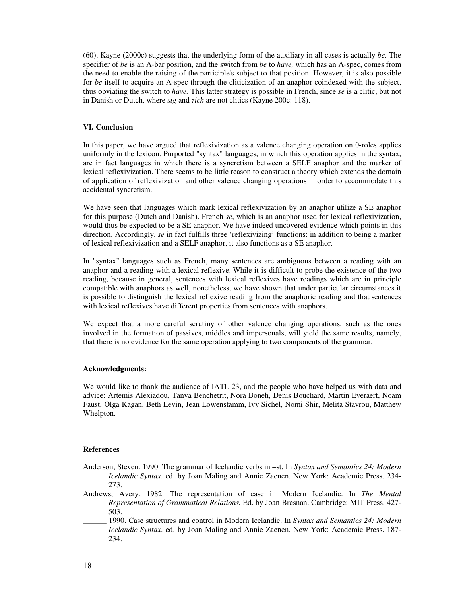(60). Kayne (2000c) suggests that the underlying form of the auxiliary in all cases is actually *be*. The specifier of *be* is an A-bar position, and the switch from *be* to *have,* which has an A-spec, comes from the need to enable the raising of the participle's subject to that position. However, it is also possible for *be* itself to acquire an A-spec through the cliticization of an anaphor coindexed with the subject, thus obviating the switch to *have.* This latter strategy is possible in French, since *se* is a clitic, but not in Danish or Dutch, where *sig* and *zich* are not clitics (Kayne 200c: 118).

### **VI. Conclusion**

In this paper, we have argued that reflexivization as a valence changing operation on θ-roles applies uniformly in the lexicon. Purported "syntax" languages, in which this operation applies in the syntax, are in fact languages in which there is a syncretism between a SELF anaphor and the marker of lexical reflexivization. There seems to be little reason to construct a theory which extends the domain of application of reflexivization and other valence changing operations in order to accommodate this accidental syncretism.

We have seen that languages which mark lexical reflexivization by an anaphor utilize a SE anaphor for this purpose (Dutch and Danish). French *se*, which is an anaphor used for lexical reflexivization, would thus be expected to be a SE anaphor. We have indeed uncovered evidence which points in this direction. Accordingly, *se* in fact fulfills three 'reflexivizing' functions: in addition to being a marker of lexical reflexivization and a SELF anaphor, it also functions as a SE anaphor.

In "syntax" languages such as French, many sentences are ambiguous between a reading with an anaphor and a reading with a lexical reflexive. While it is difficult to probe the existence of the two reading, because in general, sentences with lexical reflexives have readings which are in principle compatible with anaphors as well, nonetheless, we have shown that under particular circumstances it is possible to distinguish the lexical reflexive reading from the anaphoric reading and that sentences with lexical reflexives have different properties from sentences with anaphors.

We expect that a more careful scrutiny of other valence changing operations, such as the ones involved in the formation of passives, middles and impersonals, will yield the same results, namely, that there is no evidence for the same operation applying to two components of the grammar.

#### **Acknowledgments:**

We would like to thank the audience of IATL 23, and the people who have helped us with data and advice: Artemis Alexiadou, Tanya Benchetrit, Nora Boneh, Denis Bouchard, Martin Everaert, Noam Faust, Olga Kagan, Beth Levin, Jean Lowenstamm, Ivy Sichel, Nomi Shir, Melita Stavrou, Matthew Whelpton.

### **References**

- Anderson, Steven. 1990. The grammar of Icelandic verbs in –st. In *Syntax and Semantics 24: Modern Icelandic Syntax*. ed. by Joan Maling and Annie Zaenen. New York: Academic Press. 234- 273.
- Andrews, Avery. 1982. The representation of case in Modern Icelandic. In *The Mental Representation of Grammatical Relations.* Ed. by Joan Bresnan. Cambridge: MIT Press. 427- 503.
- \_\_\_\_\_\_ 1990. Case structures and control in Modern Icelandic. In *Syntax and Semantics 24: Modern Icelandic Syntax*. ed. by Joan Maling and Annie Zaenen. New York: Academic Press. 187- 234.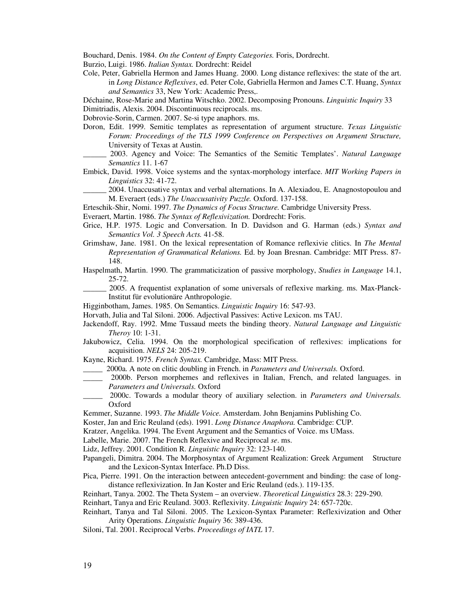Bouchard, Denis. 1984. *On the Content of Empty Categories.* Foris, Dordrecht.

Burzio, Luigi. 1986. *Italian Syntax.* Dordrecht: Reidel

Cole, Peter, Gabriella Hermon and James Huang. 2000. Long distance reflexives: the state of the art. in *Long Distance Reflexives*, ed. Peter Cole, Gabriella Hermon and James C.T. Huang, *Syntax and Semantics* 33, New York: Academic Press,.

Déchaine, Rose-Marie and Martina Witschko. 2002. Decomposing Pronouns. *Linguistic Inquiry* 33 Dimitriadis, Alexis. 2004. Discontinuous reciprocals. ms.

Dobrovie-Sorin, Carmen. 2007. Se-si type anaphors. ms.

- Doron, Edit. 1999. Semitic templates as representation of argument structure. *Texas Linguistic Forum: Proceedings of the TLS 1999 Conference on Perspectives on Argument Structure,*  University of Texas at Austin.
- \_\_\_\_\_\_ 2003. Agency and Voice: The Semantics of the Semitic Templates'. *Natural Language Semantics* 11. 1-67
- Embick, David. 1998. Voice systems and the syntax-morphology interface. *MIT Working Papers in Linguistics* 32: 41-72.

\_\_\_\_\_\_ 2004. Unaccusative syntax and verbal alternations. In A. Alexiadou, E. Anagnostopoulou and M. Everaert (eds.) *The Unaccusativity Puzzle.* Oxford. 137-158.

Erteschik-Shir, Nomi. 1997. *The Dynamics of Focus Structure.* Cambridge University Press.

Everaert, Martin. 1986. *The Syntax of Reflexivization.* Dordrecht: Foris.

- Grice, H.P. 1975. Logic and Conversation. In D. Davidson and G. Harman (eds.) *Syntax and Semantics Vol. 3 Speech Acts.* 41-58.
- Grimshaw, Jane. 1981. On the lexical representation of Romance reflexivie clitics. In *The Mental Representation of Grammatical Relations.* Ed. by Joan Bresnan. Cambridge: MIT Press. 87- 148.
- Haspelmath, Martin. 1990. The grammaticization of passive morphology, *Studies in Language* 14.1, 25-72.
- \_\_\_\_\_\_ 2005. A frequentist explanation of some universals of reflexive marking. ms. Max-Planck-Institut für evolutionäre Anthropologie.
- Higginbotham, James. 1985. On Semantics. *Linguistic Inquiry* 16: 547-93.
- Horvath, Julia and Tal Siloni. 2006. Adjectival Passives: Active Lexicon. ms TAU.
- Jackendoff, Ray. 1992. Mme Tussaud meets the binding theory. *Natural Language and Linguistic Theroy* 10: 1-31.
- Jakubowicz, Celia. 1994. On the morphological specification of reflexives: implications for acquisition. *NELS* 24: 205-219.

Kayne, Richard. 1975. *French Syntax.* Cambridge, Mass: MIT Press.

- \_\_\_\_\_ 2000a. A note on clitic doubling in French. in *Parameters and Universals.* Oxford.
- \_\_\_\_\_ 2000b. Person morphemes and reflexives in Italian, French, and related languages. in *Parameters and Universals.* Oxford
- \_\_\_\_\_ 2000c. Towards a modular theory of auxiliary selection. in *Parameters and Universals.* Oxford
- Kemmer, Suzanne. 1993. *The Middle Voice.* Amsterdam. John Benjamins Publishing Co.

Koster, Jan and Eric Reuland (eds). 1991. *Long Distance Anaphora.* Cambridge: CUP.

Kratzer, Angelika. 1994. The Event Argument and the Semantics of Voice. ms UMass.

Labelle, Marie. 2007. The French Reflexive and Reciprocal *se*. ms.

Lidz, Jeffrey. 2001. Condition R. *Linguistic Inquiry* 32: 123-140.

- Papangeli, Dimitra. 2004. The Morphosyntax of Argument Realization: Greek Argument Structure and the Lexicon-Syntax Interface. Ph.D Diss.
- Pica, Pierre. 1991. On the interaction between antecedent-government and binding: the case of longdistance reflexivization. In Jan Koster and Eric Reuland (eds.). 119-135.
- Reinhart, Tanya. 2002. The Theta System an overview. *Theoretical Linguistics* 28.3: 229-290.

Reinhart, Tanya and Eric Reuland. 3003. Reflexivity. *Linguistic Inquiry* 24: 657-720c.

- Reinhart, Tanya and Tal Siloni. 2005. The Lexicon-Syntax Parameter: Reflexivization and Other Arity Operations. *Linguistic Inquiry* 36: 389-436.
- Siloni, Tal. 2001. Reciprocal Verbs. *Proceedings of IATL* 17.